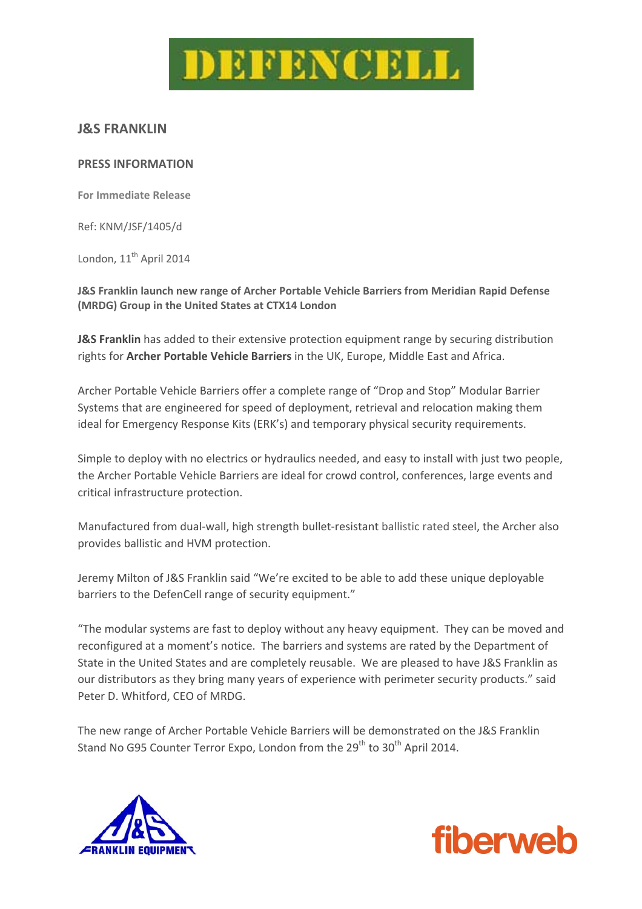

# **J&S FRANKLIN**

#### **PRESS INFORMATION**

**For Immediate Release**

Ref: KNM/JSF/1405/d

London, 11<sup>th</sup> April 2014

**J&S Franklin launch new range of Archer Portable Vehicle Barriers from Meridian Rapid Defense (MRDG) Group in the United States at CTX14 London**

**J&S Franklin** has added to their extensive protection equipment range by securing distribution rights for **Archer Portable Vehicle Barriers** in the UK, Europe, Middle East and Africa.

Archer Portable Vehicle Barriers offer a complete range of "Drop and Stop" Modular Barrier Systems that are engineered for speed of deployment, retrieval and relocation making them ideal for Emergency Response Kits (ERK's) and temporary physical security requirements.

Simple to deploy with no electrics or hydraulics needed, and easy to install with just two people, the Archer Portable Vehicle Barriers are ideal for crowd control, conferences, large events and critical infrastructure protection.

Manufactured from dual‐wall, high strength bullet‐resistant ballistic rated steel, the Archer also provides ballistic and HVM protection.

Jeremy Milton of J&S Franklin said "We're excited to be able to add these unique deployable barriers to the DefenCell range of security equipment."

"The modular systems are fast to deploy without any heavy equipment. They can be moved and reconfigured at a moment's notice. The barriers and systems are rated by the Department of State in the United States and are completely reusable. We are pleased to have J&S Franklin as our distributors as they bring many years of experience with perimeter security products." said Peter D. Whitford, CEO of MRDG.

The new range of Archer Portable Vehicle Barriers will be demonstrated on the J&S Franklin Stand No G95 Counter Terror Expo, London from the  $29<sup>th</sup>$  to  $30<sup>th</sup>$  April 2014.



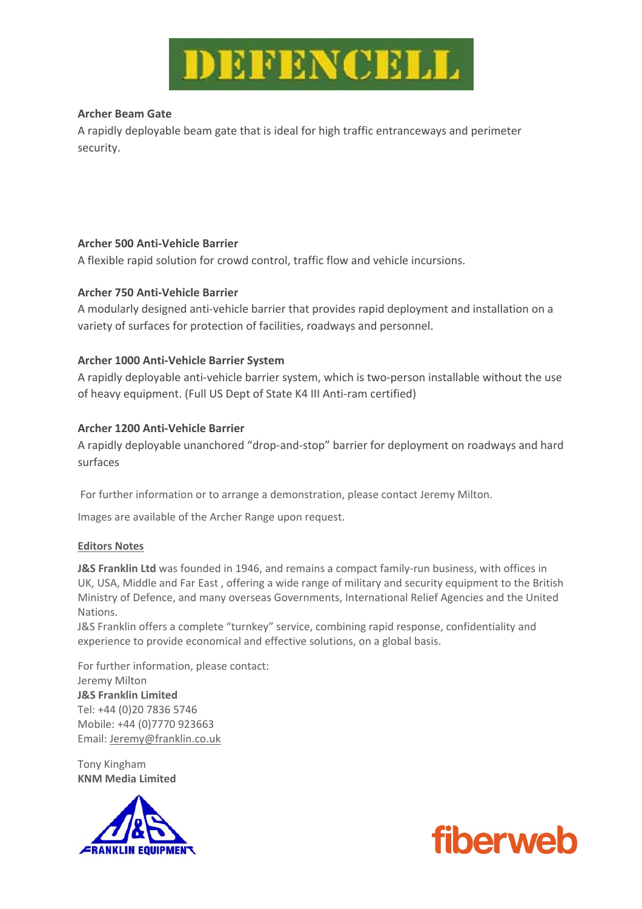

#### **Archer Beam Gate**

A rapidly deployable beam gate that is ideal for high traffic entranceways and perimeter security.

## **Archer 500 Anti‐Vehicle Barrier**

A flexible rapid solution for crowd control, traffic flow and vehicle incursions.

## **Archer 750 Anti‐Vehicle Barrier**

A modularly designed anti‐vehicle barrier that provides rapid deployment and installation on a variety of surfaces for protection of facilities, roadways and personnel.

## **Archer 1000 Anti‐Vehicle Barrier System**

A rapidly deployable anti-vehicle barrier system, which is two-person installable without the use of heavy equipment. (Full US Dept of State K4 III Anti-ram certified)

## **Archer 1200 Anti‐Vehicle Barrier**

A rapidly deployable unanchored "drop‐and‐stop" barrier for deployment on roadways and hard surfaces

For further information or to arrange a demonstration, please contact Jeremy Milton.

Images are available of the Archer Range upon request.

#### **Editors Notes**

**J&S Franklin Ltd** was founded in 1946, and remains a compact family‐run business, with offices in UK, USA, Middle and Far East , offering a wide range of military and security equipment to the British Ministry of Defence, and many overseas Governments, International Relief Agencies and the United Nations.

J&S Franklin offers a complete "turnkey" service, combining rapid response, confidentiality and experience to provide economical and effective solutions, on a global basis.

For further information, please contact: Jeremy Milton **J&S Franklin Limited**  Tel: +44 (0)20 7836 5746 Mobile: +44 (0)7770 923663 Email: Jeremy@franklin.co.uk

Tony Kingham **KNM Media Limited**